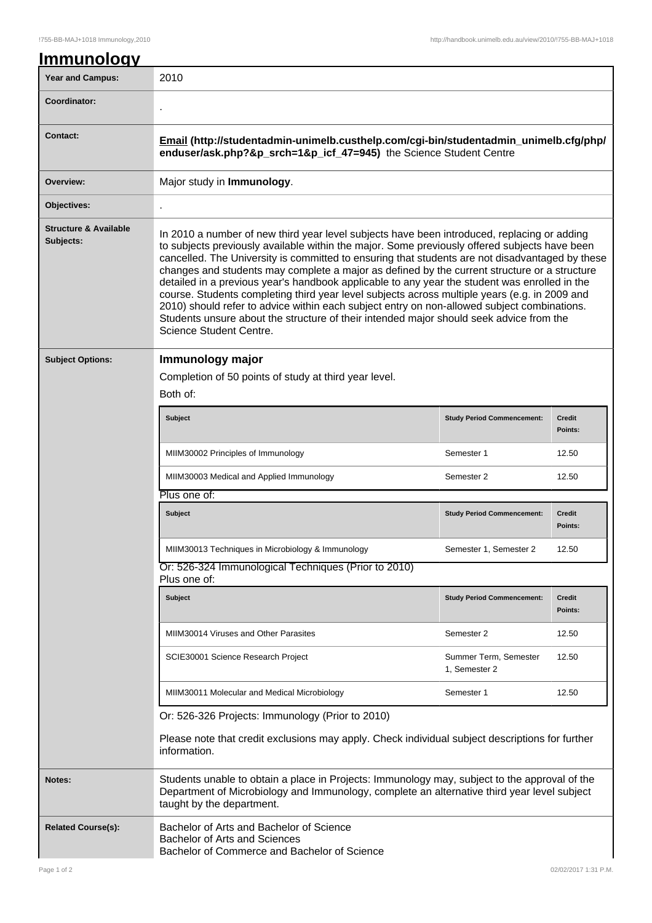| <b>Year and Campus:</b>                       | 2010                                                                                                                                                                                                                                                                                                                                                                                                                                                                                                                                                                                                                                                                                                                                                                                                                   |                                        |                          |  |  |
|-----------------------------------------------|------------------------------------------------------------------------------------------------------------------------------------------------------------------------------------------------------------------------------------------------------------------------------------------------------------------------------------------------------------------------------------------------------------------------------------------------------------------------------------------------------------------------------------------------------------------------------------------------------------------------------------------------------------------------------------------------------------------------------------------------------------------------------------------------------------------------|----------------------------------------|--------------------------|--|--|
| Coordinator:                                  |                                                                                                                                                                                                                                                                                                                                                                                                                                                                                                                                                                                                                                                                                                                                                                                                                        |                                        |                          |  |  |
| <b>Contact:</b>                               | Email (http://studentadmin-unimelb.custhelp.com/cgi-bin/studentadmin_unimelb.cfg/php/<br>enduser/ask.php?&p_srch=1&p_icf_47=945) the Science Student Centre                                                                                                                                                                                                                                                                                                                                                                                                                                                                                                                                                                                                                                                            |                                        |                          |  |  |
| Overview:                                     | Major study in Immunology.                                                                                                                                                                                                                                                                                                                                                                                                                                                                                                                                                                                                                                                                                                                                                                                             |                                        |                          |  |  |
| Objectives:                                   |                                                                                                                                                                                                                                                                                                                                                                                                                                                                                                                                                                                                                                                                                                                                                                                                                        |                                        |                          |  |  |
| <b>Structure &amp; Available</b><br>Subjects: | In 2010 a number of new third year level subjects have been introduced, replacing or adding<br>to subjects previously available within the major. Some previously offered subjects have been<br>cancelled. The University is committed to ensuring that students are not disadvantaged by these<br>changes and students may complete a major as defined by the current structure or a structure<br>detailed in a previous year's handbook applicable to any year the student was enrolled in the<br>course. Students completing third year level subjects across multiple years (e.g. in 2009 and<br>2010) should refer to advice within each subject entry on non-allowed subject combinations.<br>Students unsure about the structure of their intended major should seek advice from the<br>Science Student Centre. |                                        |                          |  |  |
| <b>Subject Options:</b>                       | Immunology major                                                                                                                                                                                                                                                                                                                                                                                                                                                                                                                                                                                                                                                                                                                                                                                                       |                                        |                          |  |  |
|                                               | Completion of 50 points of study at third year level.<br>Both of:                                                                                                                                                                                                                                                                                                                                                                                                                                                                                                                                                                                                                                                                                                                                                      |                                        |                          |  |  |
|                                               | Subject                                                                                                                                                                                                                                                                                                                                                                                                                                                                                                                                                                                                                                                                                                                                                                                                                | <b>Study Period Commencement:</b>      | <b>Credit</b><br>Points: |  |  |
|                                               | MIIM30002 Principles of Immunology                                                                                                                                                                                                                                                                                                                                                                                                                                                                                                                                                                                                                                                                                                                                                                                     | Semester 1                             | 12.50                    |  |  |
|                                               | MIIM30003 Medical and Applied Immunology                                                                                                                                                                                                                                                                                                                                                                                                                                                                                                                                                                                                                                                                                                                                                                               | Semester 2                             | 12.50                    |  |  |
|                                               | Plus one of:                                                                                                                                                                                                                                                                                                                                                                                                                                                                                                                                                                                                                                                                                                                                                                                                           |                                        |                          |  |  |
|                                               | <b>Subject</b>                                                                                                                                                                                                                                                                                                                                                                                                                                                                                                                                                                                                                                                                                                                                                                                                         | <b>Study Period Commencement:</b>      | <b>Credit</b><br>Points: |  |  |
|                                               | MIIM30013 Techniques in Microbiology & Immunology                                                                                                                                                                                                                                                                                                                                                                                                                                                                                                                                                                                                                                                                                                                                                                      | Semester 1, Semester 2                 | 12.50                    |  |  |
|                                               | Or: 526-324 Immunological Techniques (Prior to 2010)<br>Plus one of:                                                                                                                                                                                                                                                                                                                                                                                                                                                                                                                                                                                                                                                                                                                                                   |                                        |                          |  |  |
|                                               | <b>Subject</b>                                                                                                                                                                                                                                                                                                                                                                                                                                                                                                                                                                                                                                                                                                                                                                                                         | <b>Study Period Commencement:</b>      | Credit<br>Points:        |  |  |
|                                               | MIIM30014 Viruses and Other Parasites                                                                                                                                                                                                                                                                                                                                                                                                                                                                                                                                                                                                                                                                                                                                                                                  | Semester 2                             | 12.50                    |  |  |
|                                               | SCIE30001 Science Research Project                                                                                                                                                                                                                                                                                                                                                                                                                                                                                                                                                                                                                                                                                                                                                                                     | Summer Term, Semester<br>1. Semester 2 | 12.50                    |  |  |
|                                               | MIIM30011 Molecular and Medical Microbiology                                                                                                                                                                                                                                                                                                                                                                                                                                                                                                                                                                                                                                                                                                                                                                           | Semester 1                             | 12.50                    |  |  |
|                                               | Or: 526-326 Projects: Immunology (Prior to 2010)                                                                                                                                                                                                                                                                                                                                                                                                                                                                                                                                                                                                                                                                                                                                                                       |                                        |                          |  |  |
|                                               | Please note that credit exclusions may apply. Check individual subject descriptions for further<br>information.                                                                                                                                                                                                                                                                                                                                                                                                                                                                                                                                                                                                                                                                                                        |                                        |                          |  |  |
| <b>Notes:</b>                                 | Students unable to obtain a place in Projects: Immunology may, subject to the approval of the<br>Department of Microbiology and Immunology, complete an alternative third year level subject<br>taught by the department.                                                                                                                                                                                                                                                                                                                                                                                                                                                                                                                                                                                              |                                        |                          |  |  |
| <b>Related Course(s):</b>                     | Bachelor of Arts and Bachelor of Science<br>Bachelor of Arts and Sciences<br>Bachelor of Commerce and Bachelor of Science                                                                                                                                                                                                                                                                                                                                                                                                                                                                                                                                                                                                                                                                                              |                                        |                          |  |  |